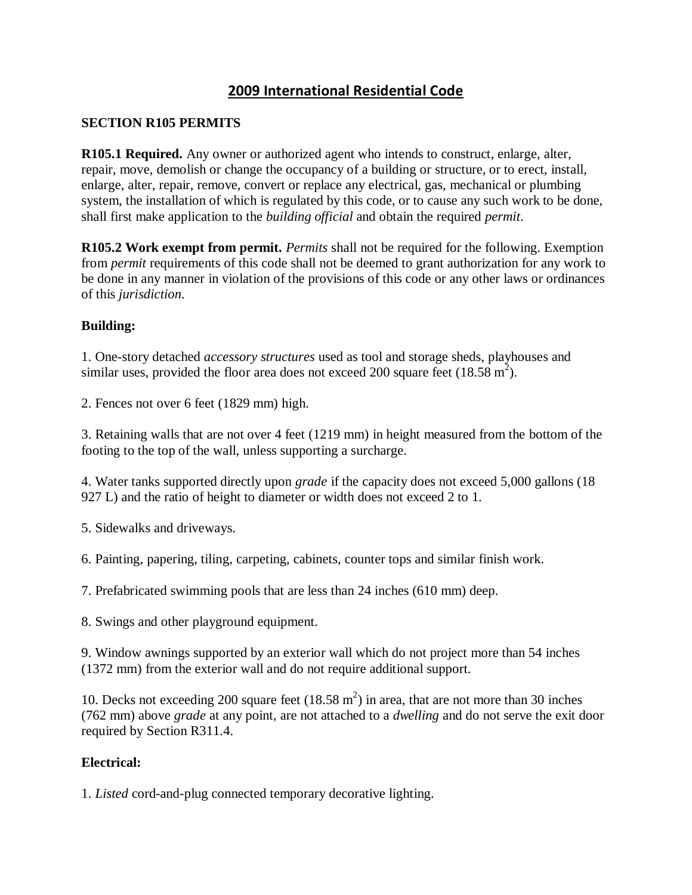# **2009 International Residential Code**

# **SECTION R105 PERMITS**

**R105.1 Required.** Any owner or authorized agent who intends to construct, enlarge, alter, repair, move, demolish or change the occupancy of a building or structure, or to erect, install, enlarge, alter, repair, remove, convert or replace any electrical, gas, mechanical or plumbing system, the installation of which is regulated by this code, or to cause any such work to be done, shall first make application to the *building official* and obtain the required *permit*.

**R105.2 Work exempt from permit.** *Permits* shall not be required for the following. Exemption from *permit* requirements of this code shall not be deemed to grant authorization for any work to be done in any manner in violation of the provisions of this code or any other laws or ordinances of this *jurisdiction*.

# **Building:**

1. One-story detached *accessory structures* used as tool and storage sheds, playhouses and similar uses, provided the floor area does not exceed 200 square feet  $(18.58 \text{ m}^2)$ .

2. Fences not over 6 feet (1829 mm) high.

3. Retaining walls that are not over 4 feet (1219 mm) in height measured from the bottom of the footing to the top of the wall, unless supporting a surcharge.

4. Water tanks supported directly upon *grade* if the capacity does not exceed 5,000 gallons (18 927 L) and the ratio of height to diameter or width does not exceed 2 to 1.

5. Sidewalks and driveways.

6. Painting, papering, tiling, carpeting, cabinets, counter tops and similar finish work.

7. Prefabricated swimming pools that are less than 24 inches (610 mm) deep.

8. Swings and other playground equipment.

9. Window awnings supported by an exterior wall which do not project more than 54 inches (1372 mm) from the exterior wall and do not require additional support.

10. Decks not exceeding 200 square feet  $(18.58 \text{ m}^2)$  in area, that are not more than 30 inches (762 mm) above *grade* at any point, are not attached to a *dwelling* and do not serve the exit door required by Section R311.4.

# **Electrical:**

1. *Listed* cord-and-plug connected temporary decorative lighting.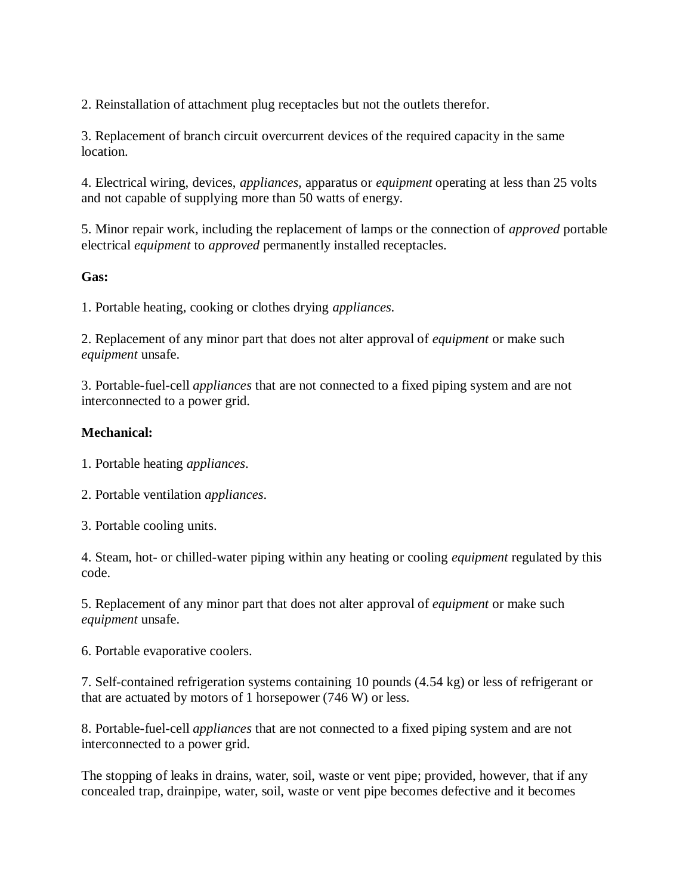2. Reinstallation of attachment plug receptacles but not the outlets therefor.

3. Replacement of branch circuit overcurrent devices of the required capacity in the same location.

4. Electrical wiring, devices, *appliances,* apparatus or *equipment* operating at less than 25 volts and not capable of supplying more than 50 watts of energy.

5. Minor repair work, including the replacement of lamps or the connection of *approved* portable electrical *equipment* to *approved* permanently installed receptacles.

### **Gas:**

1. Portable heating, cooking or clothes drying *appliances*.

2. Replacement of any minor part that does not alter approval of *equipment* or make such *equipment* unsafe.

3. Portable-fuel-cell *appliances* that are not connected to a fixed piping system and are not interconnected to a power grid.

### **Mechanical:**

1. Portable heating *appliances*.

2. Portable ventilation *appliances*.

3. Portable cooling units.

4. Steam, hot- or chilled-water piping within any heating or cooling *equipment* regulated by this code.

5. Replacement of any minor part that does not alter approval of *equipment* or make such *equipment* unsafe.

6. Portable evaporative coolers.

7. Self-contained refrigeration systems containing 10 pounds (4.54 kg) or less of refrigerant or that are actuated by motors of 1 horsepower (746 W) or less.

8. Portable-fuel-cell *appliances* that are not connected to a fixed piping system and are not interconnected to a power grid.

The stopping of leaks in drains, water, soil, waste or vent pipe; provided, however, that if any concealed trap, drainpipe, water, soil, waste or vent pipe becomes defective and it becomes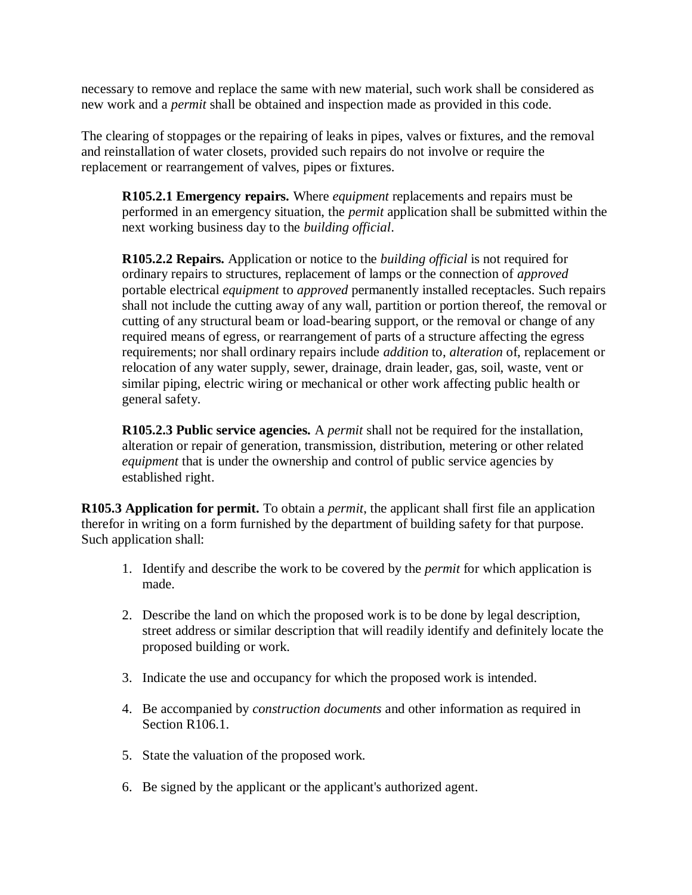necessary to remove and replace the same with new material, such work shall be considered as new work and a *permit* shall be obtained and inspection made as provided in this code.

The clearing of stoppages or the repairing of leaks in pipes, valves or fixtures, and the removal and reinstallation of water closets, provided such repairs do not involve or require the replacement or rearrangement of valves, pipes or fixtures.

**R105.2.1 Emergency repairs.** Where *equipment* replacements and repairs must be performed in an emergency situation, the *permit* application shall be submitted within the next working business day to the *building official*.

**R105.2.2 Repairs.** Application or notice to the *building official* is not required for ordinary repairs to structures, replacement of lamps or the connection of *approved* portable electrical *equipment* to *approved* permanently installed receptacles. Such repairs shall not include the cutting away of any wall, partition or portion thereof, the removal or cutting of any structural beam or load-bearing support, or the removal or change of any required means of egress, or rearrangement of parts of a structure affecting the egress requirements; nor shall ordinary repairs include *addition* to, *alteration* of, replacement or relocation of any water supply, sewer, drainage, drain leader, gas, soil, waste, vent or similar piping, electric wiring or mechanical or other work affecting public health or general safety.

**R105.2.3 Public service agencies.** A *permit* shall not be required for the installation, alteration or repair of generation, transmission, distribution, metering or other related *equipment* that is under the ownership and control of public service agencies by established right.

**R105.3 Application for permit.** To obtain a *permit*, the applicant shall first file an application therefor in writing on a form furnished by the department of building safety for that purpose. Such application shall:

- 1. Identify and describe the work to be covered by the *permit* for which application is made.
- 2. Describe the land on which the proposed work is to be done by legal description, street address or similar description that will readily identify and definitely locate the proposed building or work.
- 3. Indicate the use and occupancy for which the proposed work is intended.
- 4. Be accompanied by *construction documents* and other information as required in Section R106.1.
- 5. State the valuation of the proposed work.
- 6. Be signed by the applicant or the applicant's authorized agent.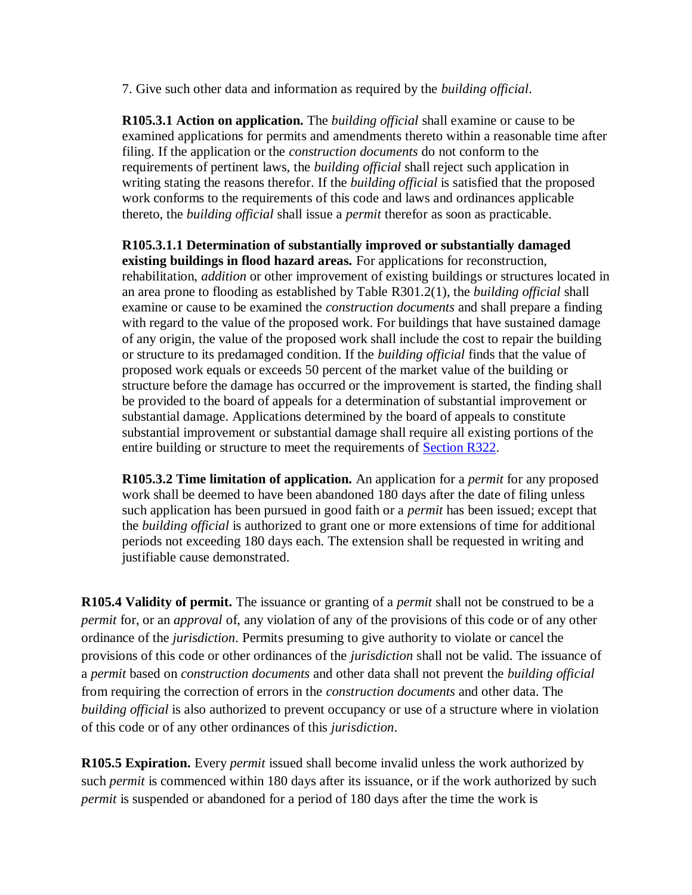7. Give such other data and information as required by the *building official*.

**R105.3.1 Action on application.** The *building official* shall examine or cause to be examined applications for permits and amendments thereto within a reasonable time after filing. If the application or the *construction documents* do not conform to the requirements of pertinent laws, the *building official* shall reject such application in writing stating the reasons therefor. If the *building official* is satisfied that the proposed work conforms to the requirements of this code and laws and ordinances applicable thereto, the *building official* shall issue a *permit* therefor as soon as practicable.

**R105.3.1.1 Determination of substantially improved or substantially damaged existing buildings in flood hazard areas.** For applications for reconstruction, rehabilitation, *addition* or other improvement of existing buildings or structures located in an area prone to flooding as established by Table R301.2(1), the *building official* shall examine or cause to be examined the *construction documents* and shall prepare a finding with regard to the value of the proposed work. For buildings that have sustained damage of any origin, the value of the proposed work shall include the cost to repair the building or structure to its predamaged condition. If the *building official* finds that the value of proposed work equals or exceeds 50 percent of the market value of the building or structure before the damage has occurred or the improvement is started, the finding shall be provided to the board of appeals for a determination of substantial improvement or substantial damage. Applications determined by the board of appeals to constitute substantial improvement or substantial damage shall require all existing portions of the entire building or structure to meet the requirements of [Section R322.](javascript:Next()

**R105.3.2 Time limitation of application.** An application for a *permit* for any proposed work shall be deemed to have been abandoned 180 days after the date of filing unless such application has been pursued in good faith or a *permit* has been issued; except that the *building official* is authorized to grant one or more extensions of time for additional periods not exceeding 180 days each. The extension shall be requested in writing and justifiable cause demonstrated.

**R105.4 Validity of permit.** The issuance or granting of a *permit* shall not be construed to be a *permit* for, or an *approval* of, any violation of any of the provisions of this code or of any other ordinance of the *jurisdiction*. Permits presuming to give authority to violate or cancel the provisions of this code or other ordinances of the *jurisdiction* shall not be valid. The issuance of a *permit* based on *construction documents* and other data shall not prevent the *building official* from requiring the correction of errors in the *construction documents* and other data. The *building official* is also authorized to prevent occupancy or use of a structure where in violation of this code or of any other ordinances of this *jurisdiction*.

**R105.5 Expiration.** Every *permit* issued shall become invalid unless the work authorized by such *permit* is commenced within 180 days after its issuance, or if the work authorized by such *permit* is suspended or abandoned for a period of 180 days after the time the work is